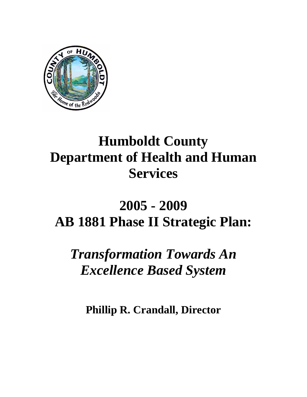

# **Humboldt County Department of Health and Human Services**

# **2005 - 2009 AB 1881 Phase II Strategic Plan:**

*Transformation Towards An Excellence Based System* 

**Phillip R. Crandall, Director**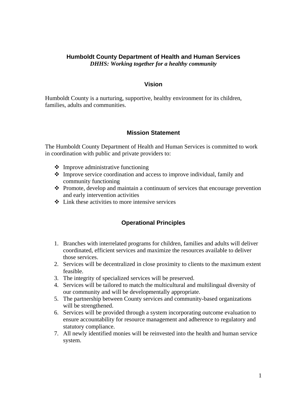#### **Humboldt County Department of Health and Human Services**  *DHHS: Working together for a healthy community*

#### **Vision**

Humboldt County is a nurturing, supportive, healthy environment for its children, families, adults and communities.

#### **Mission Statement**

The Humboldt County Department of Health and Human Services is committed to work in coordination with public and private providers to:

- $\triangleleft$  Improve administrative functioning
- $\triangle$  Improve service coordination and access to improve individual, family and community functioning
- Promote, develop and maintain a continuum of services that encourage prevention and early intervention activities
- $\div$  Link these activities to more intensive services

#### **Operational Principles**

- 1. Branches with interrelated programs for children, families and adults will deliver coordinated, efficient services and maximize the resources available to deliver those services.
- 2. Services will be decentralized in close proximity to clients to the maximum extent feasible.
- 3. The integrity of specialized services will be preserved.
- 4. Services will be tailored to match the multicultural and multilingual diversity of our community and will be developmentally appropriate.
- 5. The partnership between County services and community-based organizations will be strengthened.
- 6. Services will be provided through a system incorporating outcome evaluation to ensure accountability for resource management and adherence to regulatory and statutory compliance.
- 7. All newly identified monies will be reinvested into the health and human service system.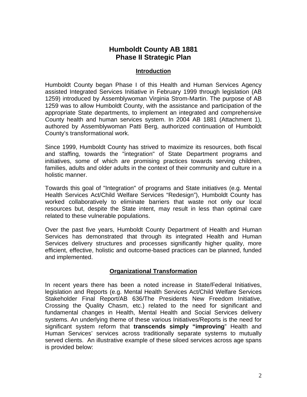# **Humboldt County AB 1881 Phase II Strategic Plan**

#### **Introduction**

Humboldt County began Phase I of this Health and Human Services Agency assisted Integrated Services Initiative in February 1999 through legislation (AB 1259) introduced by Assemblywoman Virginia Strom-Martin. The purpose of AB 1259 was to allow Humboldt County, with the assistance and participation of the appropriate State departments, to implement an integrated and comprehensive County health and human services system. In 2004 AB 1881 (Attachment 1), authored by Assemblywoman Patti Berg, authorized continuation of Humboldt County's transformational work.

Since 1999, Humboldt County has strived to maximize its resources, both fiscal and staffing, towards the "integration" of State Department programs and initiatives, some of which are promising practices towards serving children, families, adults and older adults in the context of their community and culture in a holistic manner.

Towards this goal of "Integration" of programs and State initiatives (e.g. Mental Health Services Act/Child Welfare Services "Redesign"), Humboldt County has worked collaboratively to eliminate barriers that waste not only our local resources but, despite the State intent, may result in less than optimal care related to these vulnerable populations.

Over the past five years, Humboldt County Department of Health and Human Services has demonstrated that through its integrated Health and Human Services delivery structures and processes significantly higher quality, more efficient, effective, holistic and outcome-based practices can be planned, funded and implemented.

# **Organizational Transformation**

In recent years there has been a noted increase in State/Federal Initiatives, legislation and Reports (e.g. Mental Health Services Act/Child Welfare Services Stakeholder Final Report/AB 636/The Presidents New Freedom Initiative, Crossing the Quality Chasm, etc.) related to the need for significant and fundamental changes in Health, Mental Health and Social Services delivery systems. An underlying theme of these various Initiatives/Reports is the need for significant system reform that **transcends simply "improving**" Health and Human Services' services across traditionally separate systems to mutually served clients. An illustrative example of these siloed services across age spans is provided below: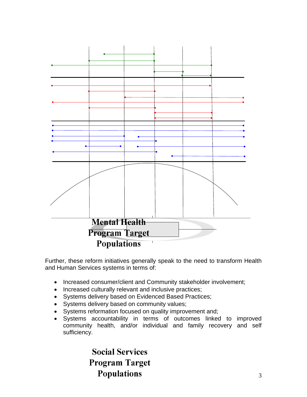

Further, these reform initiatives generally speak to the need to transform Health and Human Services systems in terms of:

- Increased consumer/client and Community stakeholder involvement;
- Increased culturally relevant and inclusive practices;
- Systems delivery based on Evidenced Based Practices;
- Systems delivery based on community values;
- Systems reformation focused on quality improvement and;
- Systems accountability in terms of outcomes linked to improved community health, and/or individual and family recovery and self sufficiency.

**Social Services Program Target Populations**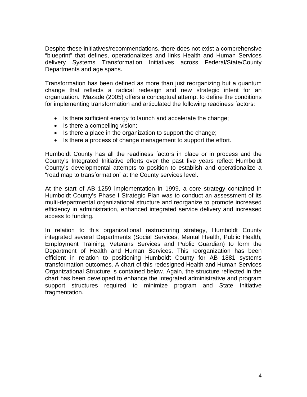Despite these initiatives/recommendations, there does not exist a comprehensive "blueprint" that defines, operationalizes and links Health and Human Services delivery Systems Transformation Initiatives across Federal/State/County Departments and age spans.

Transformation has been defined as more than just reorganizing but a quantum change that reflects a radical redesign and new strategic intent for an organization. Mazade (2005) offers a conceptual attempt to define the conditions for implementing transformation and articulated the following readiness factors:

- Is there sufficient energy to launch and accelerate the change;
- Is there a compelling vision;
- Is there a place in the organization to support the change;
- Is there a process of change management to support the effort.

Humboldt County has all the readiness factors in place or in process and the County's Integrated Initiative efforts over the past five years reflect Humboldt County's developmental attempts to position to establish and operationalize a "road map to transformation" at the County services level.

At the start of AB 1259 implementation in 1999, a core strategy contained in Humboldt County's Phase I Strategic Plan was to conduct an assessment of its multi-departmental organizational structure and reorganize to promote increased efficiency in administration, enhanced integrated service delivery and increased access to funding.

In relation to this organizational restructuring strategy, Humboldt County integrated several Departments (Social Services, Mental Health, Public Health, Employment Training, Veterans Services and Public Guardian) to form the Department of Health and Human Services. This reorganization has been efficient in relation to positioning Humboldt County for AB 1881 systems transformation outcomes. A chart of this redesigned Health and Human Services Organizational Structure is contained below. Again, the structure reflected in the chart has been developed to enhance the integrated administrative and program support structures required to minimize program and State Initiative fragmentation.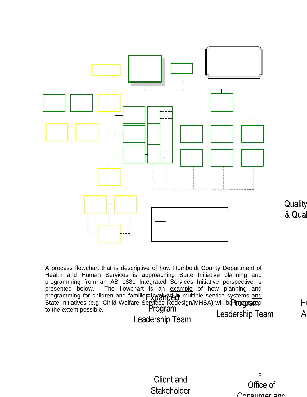

A process flowchart that is descriptive of how Humboldt County Department of Health and Human Services is approaching State Initiative planning and programming from an AB 1881 Integrated Services Initiative perspective is presented below. The flowchart is an example of how planning and programming for children and familie**s involved in** multiple service systems and State Initiatives (e.g. Child Welfare Services Redesign/MHSA) will be **Proemare**d to the extent possible. Leadership Team Leadership Team

 $H$  $\overline{A}$ 

**Client and** Stakeholder

5Office of Consumer and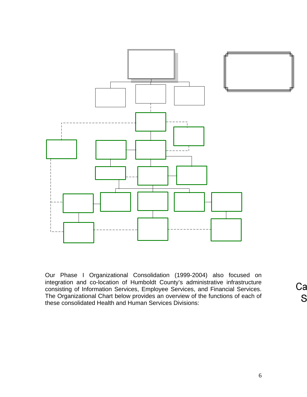

Our Phase I Organizational Consolidation (1999-2004) also focused on integration and co-location of Humboldt County's administrative infrastructure consisting of Information Services, Employee Services, and Financial Services. The Organizational Chart below provides an overview of the functions of each of these consolidated Health and Human Services Divisions:

Çа S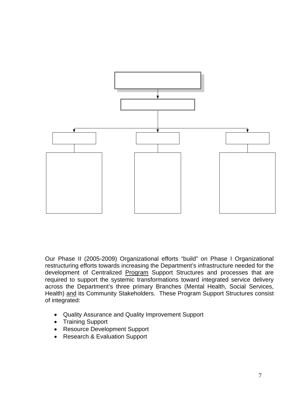

Our Phase II (2005-2009) Organizational efforts "build" on Phase I Organizational restructuring efforts towards increasing the Department's infrastructure needed for the development of Centralized Program Support Structures and processes that are required to support the systemic transformations toward integrated service delivery across the Department's three primary Branches (Mental Health, Social Services, Health) and its Community Stakeholders. These Program Support Structures consist of integrated:

- Quality Assurance and Quality Improvement Support
- Training Support
- Resource Development Support
- Research & Evaluation Support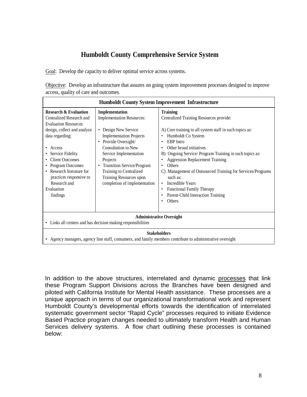# **Humboldt County Comprehensive Service System**

Goal: Develop the capacity to deliver optimal service across systems.

Objective: Develop an infrastructure that assures on going system improvement processes designed to improve access, quality of care and outcomes.

| <b>Humboldt County System Improvement Infrastructure</b>                                                                                                                                                                                                                                                                    |                                                                                                                                                                                                                                                                                                                                   |                                                                                                                                                                                                                                                                                                                                                                                                                                                                                                                                                                                            |
|-----------------------------------------------------------------------------------------------------------------------------------------------------------------------------------------------------------------------------------------------------------------------------------------------------------------------------|-----------------------------------------------------------------------------------------------------------------------------------------------------------------------------------------------------------------------------------------------------------------------------------------------------------------------------------|--------------------------------------------------------------------------------------------------------------------------------------------------------------------------------------------------------------------------------------------------------------------------------------------------------------------------------------------------------------------------------------------------------------------------------------------------------------------------------------------------------------------------------------------------------------------------------------------|
| <b>Research &amp; Evaluation</b><br>Centralized Research and<br><b>Evaluation Resources</b><br>design, collect and analyze<br>data regarding:<br>Access<br>Service Fidelity<br><b>Client Outcomes</b><br>• Program Outcomes<br>Research literature for<br>practices responsive to<br>Research and<br>Evaluation<br>findings | Implementation<br><b>Implementation Resources:</b><br>Design New Service<br>٠<br><b>Implementation Projects</b><br>• Provide Oversight/<br><b>Consultation to New</b><br>Service Implementation<br>Projects<br>• Transition Service/Program<br>Training to Centralized<br>Training Resources upon<br>completion of implementation | <b>Training</b><br>Centralized Training Resources provide:<br>A) Core training to all system staff in such topics as:<br>Humboldt Co System<br>٠<br><b>EBP</b> Intro<br>$\bullet$<br>Other broad initiatives<br>$\bullet$<br>Ongoing Service/ Program Training in such topics as:<br>B)<br><b>Aggression Replacement Training</b><br>٠<br>Others<br>٠<br>C) Management of Outsourced Training for Services/Programs<br>such as:<br>Incredible Years<br>$\bullet$<br><b>Functional Family Therapy</b><br>$\bullet$<br>Parent-Child Interaction Training<br>$\bullet$<br>Others<br>$\bullet$ |
| <b>Administrative Oversight</b><br>• Links all centers and has decision making responsibilities                                                                                                                                                                                                                             |                                                                                                                                                                                                                                                                                                                                   |                                                                                                                                                                                                                                                                                                                                                                                                                                                                                                                                                                                            |
| <b>Stakeholders</b><br>Agency managers, agency line staff, consumers, and family members contribute to administrative oversight                                                                                                                                                                                             |                                                                                                                                                                                                                                                                                                                                   |                                                                                                                                                                                                                                                                                                                                                                                                                                                                                                                                                                                            |

In addition to the above structures, interrelated and dynamic processes that link these Program Support Divisions across the Branches have been designed and piloted with California Institute for Mental Health assistance. These processes are a unique approach in terms of our organizational transformational work and represent Humboldt County's developmental efforts towards the identification of interrelated systematic government sector "Rapid Cycle" processes required to initiate Evidence Based Practice program changes needed to ultimately transform Health and Human Services delivery systems. A flow chart outlining these processes is contained below: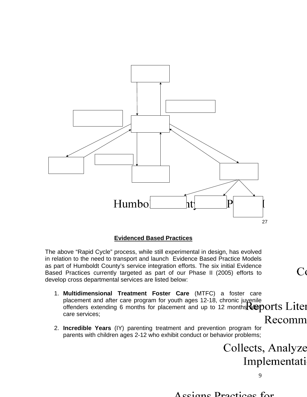

#### **Evidenced Based Practices**

The above "Rapid Cycle" process, while still experimental in design, has evolved in relation to the need to transport and launch Evidence Based Practice Models as part of Humboldt County's service integration efforts. The six initial Evidence Based Practices currently targeted as part of our Phase II (2005) efforts to develop cross departmental services are listed below:

- 1. **Multidimensional Treatment Foster Care** (MTFC) a foster care placement and after care program for youth ages 12-18, chronic juyenile offenders extending 6 months for placement and up to 12 months  $\mathbf{\mathbf{\hat{w}}}$  ports  $\mathbf{\mathbf{\hat{L}it}}$ care services; Recomm
- 2. **Incredible Years** (IY) parenting treatment and prevention program for parents with children ages 2-12 who exhibit conduct or behavior problems;

Collects, Analyze Implementati

 $C$ 

9

Accione Practices for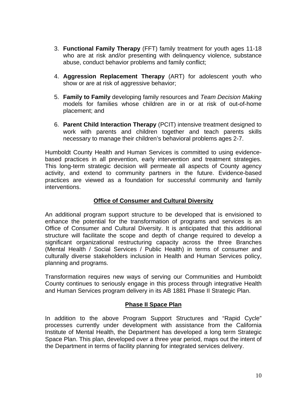- 3. **Functional Family Therapy** (FFT) family treatment for youth ages 11-18 who are at risk and/or presenting with delinquency violence, substance abuse, conduct behavior problems and family conflict;
- 4. **Aggression Replacement Therapy** (ART) for adolescent youth who show or are at risk of aggressive behavior;
- 5. **Family to Family** developing family resources and *Team Decision Making*  models for families whose children are in or at risk of out-of-home placement; and
- 6. **Parent Child Interaction Therapy** (PCIT) intensive treatment designed to work with parents and children together and teach parents skills necessary to manage their children's behavioral problems ages 2-7.

Humboldt County Health and Human Services is committed to using evidencebased practices in all prevention, early intervention and treatment strategies. This long-term strategic decision will permeate all aspects of County agency activity, and extend to community partners in the future. Evidence-based practices are viewed as a foundation for successful community and family interventions.

# **Office of Consumer and Cultural Diversity**

An additional program support structure to be developed that is envisioned to enhance the potential for the transformation of programs and services is an Office of Consumer and Cultural Diversity. It is anticipated that this additional structure will facilitate the scope and depth of change required to develop a significant organizational restructuring capacity across the three Branches (Mental Health / Social Services / Public Health) in terms of consumer and culturally diverse stakeholders inclusion in Health and Human Services policy, planning and programs.

Transformation requires new ways of serving our Communities and Humboldt County continues to seriously engage in this process through integrative Health and Human Services program delivery in its AB 1881 Phase II Strategic Plan.

#### **Phase II Space Plan**

In addition to the above Program Support Structures and "Rapid Cycle" processes currently under development with assistance from the California Institute of Mental Health, the Department has developed a long term Strategic Space Plan. This plan, developed over a three year period, maps out the intent of the Department in terms of facility planning for integrated services delivery.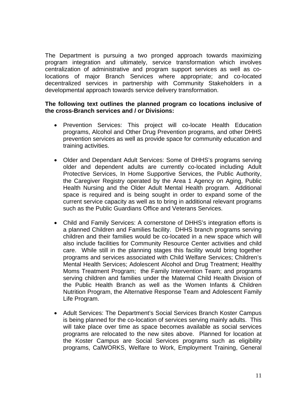The Department is pursuing a two pronged approach towards maximizing program integration and ultimately, service transformation which involves centralization of administrative and program support services as well as colocations of major Branch Services where appropriate; and co-located decentralized services in partnership with Community Stakeholders in a developmental approach towards service delivery transformation.

#### **The following text outlines the planned program co locations inclusive of the cross-Branch services and / or Divisions:**

- Prevention Services: This project will co-locate Health Education programs, Alcohol and Other Drug Prevention programs, and other DHHS prevention services as well as provide space for community education and training activities.
- Older and Dependant Adult Services: Some of DHHS's programs serving older and dependent adults are currently co-located including Adult Protective Services, In Home Supportive Services, the Public Authority, the Caregiver Registry operated by the Area 1 Agency on Aging, Public Health Nursing and the Older Adult Mental Health program. Additional space is required and is being sought in order to expand some of the current service capacity as well as to bring in additional relevant programs such as the Public Guardians Office and Veterans Services.
- Child and Family Services: A cornerstone of DHHS's integration efforts is a planned Children and Families facility. DHHS branch programs serving children and their families would be co-located in a new space which will also include facilities for Community Resource Center activities and child care. While still in the planning stages this facility would bring together programs and services associated with Child Welfare Services; Children's Mental Health Services; Adolescent Alcohol and Drug Treatment; Healthy Moms Treatment Program; the Family Intervention Team; and programs serving children and families under the Maternal Child Health Division of the Public Health Branch as well as the Women Infants & Children Nutrition Program, the Alternative Response Team and Adolescent Family Life Program.
- Adult Services: The Department's Social Services Branch Koster Campus is being planned for the co-location of services serving mainly adults. This will take place over time as space becomes available as social services programs are relocated to the new sites above. Planned for location at the Koster Campus are Social Services programs such as eligibility programs, CalWORKS, Welfare to Work, Employment Training, General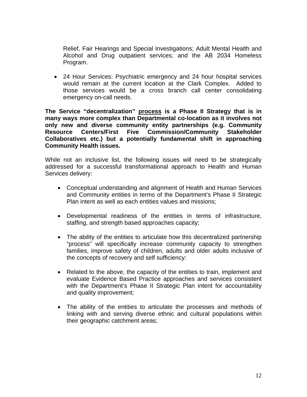Relief, Fair Hearings and Special Investigations; Adult Mental Health and Alcohol and Drug outpatient services; and the AB 2034 Homeless Program.

• 24 Hour Services: Psychiatric emergency and 24 hour hospital services would remain at the current location at the Clark Complex. Added to those services would be a cross branch call center consolidating emergency on-call needs.

**The Service "decentralization" process is a Phase II Strategy that is in many ways more complex than Departmental co-location as it involves not only new and diverse community entity partnerships (e.g. Community Resource Centers/First Five Commission/Community Stakeholder Collaboratives etc.) but a potentially fundamental shift in approaching Community Health issues.** 

While not an inclusive list, the following issues will need to be strategically addressed for a successful transformational approach to Health and Human Services delivery:

- Conceptual understanding and alignment of Health and Human Services and Community entities in terms of the Department's Phase II Strategic Plan intent as well as each entities values and missions;
- Developmental readiness of the entities in terms of infrastructure, staffing, and strength based approaches capacity;
- The ability of the entities to articulate how this decentralized partnership "process" will specifically increase community capacity to strengthen families, improve safety of children, adults and older adults inclusive of the concepts of recovery and self sufficiency:
- Related to the above, the capacity of the entities to train, implement and evaluate Evidence Based Practice approaches and services consistent with the Department's Phase II Strategic Plan intent for accountability and quality improvement;
- The ability of the entities to articulate the processes and methods of linking with and serving diverse ethnic and cultural populations within their geographic catchment areas;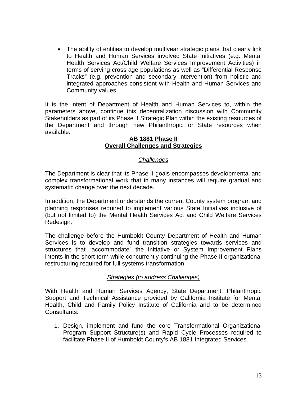• The ability of entities to develop multiyear strategic plans that clearly link to Health and Human Services involved State Initiatives (e.g. Mental Health Services Act/Child Welfare Services Improvement Activities) in terms of serving cross age populations as well as "Differential Response Tracks" (e.g. prevention and secondary intervention) from holistic and integrated approaches consistent with Health and Human Services and Community values.

It is the intent of Department of Health and Human Services to, within the parameters above, continue this decentralization discussion with Community Stakeholders as part of its Phase II Strategic Plan within the existing resources of the Department and through new Philanthropic or State resources when available.

# **AB 1881 Phase II Overall Challenges and Strategies**

# *Challenges*

The Department is clear that its Phase II goals encompasses developmental and complex transformational work that in many instances will require gradual and systematic change over the next decade.

In addition, the Department understands the current County system program and planning responses required to implement various State Initiatives inclusive of (but not limited to) the Mental Health Services Act and Child Welfare Services Redesign.

The challenge before the Humboldt County Department of Health and Human Services is to develop and fund transition strategies towards services and structures that "accommodate" the Initiative or System Improvement Plans intents in the short term while concurrently continuing the Phase II organizational restructuring required for full systems transformation.

#### *Strategies (to address Challenges)*

With Health and Human Services Agency, State Department, Philanthropic Support and Technical Assistance provided by California Institute for Mental Health, Child and Family Policy Institute of California and to be determined Consultants:

1. Design, implement and fund the core Transformational Organizational Program Support Structure(s) and Rapid Cycle Processes required to facilitate Phase II of Humboldt County's AB 1881 Integrated Services.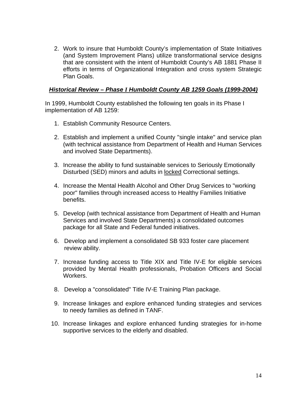2. Work to insure that Humboldt County's implementation of State Initiatives (and System Improvement Plans) utilize transformational service designs that are consistent with the intent of Humboldt County's AB 1881 Phase II efforts in terms of Organizational Integration and cross system Strategic Plan Goals.

#### *Historical Review – Phase I Humboldt County AB 1259 Goals (1999-2004)*

In 1999, Humboldt County established the following ten goals in its Phase I implementation of AB 1259:

- 1. Establish Community Resource Centers.
- 2. Establish and implement a unified County "single intake" and service plan (with technical assistance from Department of Health and Human Services and involved State Departments).
- 3. Increase the ability to fund sustainable services to Seriously Emotionally Disturbed (SED) minors and adults in locked Correctional settings.
- 4. Increase the Mental Health Alcohol and Other Drug Services to "working poor" families through increased access to Healthy Families Initiative benefits.
- 5. Develop (with technical assistance from Department of Health and Human Services and involved State Departments) a consolidated outcomes package for all State and Federal funded initiatives.
- 6. Develop and implement a consolidated SB 933 foster care placement review ability.
- 7. Increase funding access to Title XIX and Title IV-E for eligible services provided by Mental Health professionals, Probation Officers and Social Workers.
- 8. Develop a "consolidated" Title IV-E Training Plan package.
- 9. Increase linkages and explore enhanced funding strategies and services to needy families as defined in TANF.
- 10. Increase linkages and explore enhanced funding strategies for in-home supportive services to the elderly and disabled.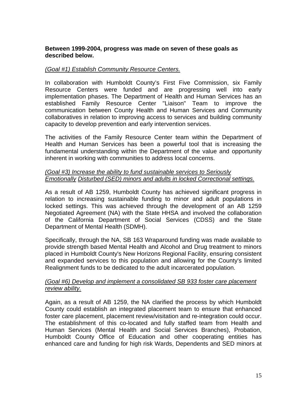#### **Between 1999-2004, progress was made on seven of these goals as described below.**

#### *(Goal #1) Establish Community Resource Centers.*

In collaboration with Humboldt County's First Five Commission, six Family Resource Centers were funded and are progressing well into early implementation phases. The Department of Health and Human Services has an established Family Resource Center "Liaison" Team to improve the communication between County Health and Human Services and Community collaboratives in relation to improving access to services and building community capacity to develop prevention and early intervention services.

The activities of the Family Resource Center team within the Department of Health and Human Services has been a powerful tool that is increasing the fundamental understanding within the Department of the value and opportunity inherent in working with communities to address local concerns.

# *(Goal #3) Increase the ability to fund sustainable services to Seriously Emotionally Disturbed (SED) minors and adults in locked Correctional settings.*

As a result of AB 1259, Humboldt County has achieved significant progress in relation to increasing sustainable funding to minor and adult populations in locked settings. This was achieved through the development of an AB 1259 Negotiated Agreement (NA) with the State HHSA and involved the collaboration of the California Department of Social Services (CDSS) and the State Department of Mental Health (SDMH).

Specifically, through the NA, SB 163 Wraparound funding was made available to provide strength based Mental Health and Alcohol and Drug treatment to minors placed in Humboldt County's New Horizons Regional Facility, ensuring consistent and expanded services to this population and allowing for the County's limited Realignment funds to be dedicated to the adult incarcerated population.

# *(Goal #6) Develop and implement a consolidated SB 933 foster care placement review ability.*

Again, as a result of AB 1259, the NA clarified the process by which Humboldt County could establish an integrated placement team to ensure that enhanced foster care placement, placement review/visitation and re-integration could occur. The establishment of this co-located and fully staffed team from Health and Human Services (Mental Health and Social Services Branches), Probation, Humboldt County Office of Education and other cooperating entities has enhanced care and funding for high risk Wards, Dependents and SED minors at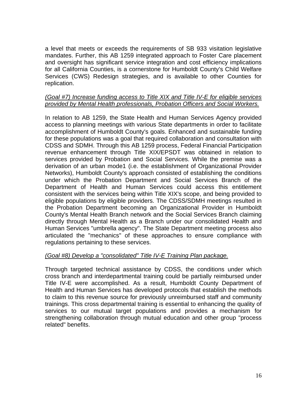a level that meets or exceeds the requirements of SB 933 visitation legislative mandates. Further, this AB 1259 integrated approach to Foster Care placement and oversight has significant service integration and cost efficiency implications for all California Counties, is a cornerstone for Humboldt County's Child Welfare Services (CWS) Redesign strategies, and is available to other Counties for replication.

#### *(Goal #7) Increase funding access to Title XIX and Title IV-E for eligible services provided by Mental Health professionals, Probation Officers and Social Workers.*

In relation to AB 1259, the State Health and Human Services Agency provided access to planning meetings with various State departments in order to facilitate accomplishment of Humboldt County's goals. Enhanced and sustainable funding for these populations was a goal that required collaboration and consultation with CDSS and SDMH. Through this AB 1259 process, Federal Financial Participation revenue enhancement through Title XIX/EPSDT was obtained in relation to services provided by Probation and Social Services. While the premise was a derivation of an urban mode1 (i.e. the establishment of Organizational Provider Networks), Humboldt County's approach consisted of establishing the conditions under which the Probation Department and Social Services Branch of the Department of Health and Human Services could access this entitlement consistent with the services being within Title XIX's scope, and being provided to eligible populations by eligible providers. The CDSS/SDMH meetings resulted in the Probation Department becoming an Organizational Provider in Humboldt County's Mental Health Branch network and the Social Services Branch claiming directly through Mental Health as a Branch under our consolidated Health and Human Services "umbrella agency". The State Department meeting process also articulated the "mechanics" of these approaches to ensure compliance with regulations pertaining to these services.

#### *(Goal #8) Develop a "consolidated" Title IV-E Training Plan package.*

Through targeted technical assistance by CDSS, the conditions under which cross branch and interdepartmental training could be partially reimbursed under Title IV-E were accomplished. As a result, Humboldt County Department of Health and Human Services has developed protocols that establish the methods to claim to this revenue source for previously unreimbursed staff and community trainings. This cross departmental training is essential to enhancing the quality of services to our mutual target populations and provides a mechanism for strengthening collaboration through mutual education and other group "process related" benefits.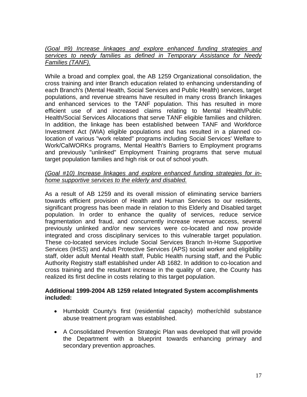*(Goal #9) Increase linkages and explore enhanced funding strategies and services to needy families as defined in Temporary Assistance for Needy Families (TANF).*

While a broad and complex goal, the AB 1259 Organizational consolidation, the cross training and inter Branch education related to enhancing understanding of each Branch's (Mental Health, Social Services and Public Health) services, target populations, and revenue streams have resulted in many cross Branch linkages and enhanced services to the TANF population. This has resulted in more efficient use of and increased claims relating to Mental Health/Public Health/Social Services Allocations that serve TANF eligible families and children. In addition, the linkage has been established between TANF and Workforce Investment Act (WIA) eligible populations and has resulted in a planned colocation of various "work related" programs including Social Services' Welfare to Work/CalWORKs programs, Mental Health's Barriers to Employment programs and previously "unlinked" Employment Training programs that serve mutual target population families and high risk or out of school youth.

# *(Goal #10) Increase linkages and explore enhanced funding strategies for inhome supportive services to the elderly and disabled.*

As a result of AB 1259 and its overall mission of eliminating service barriers towards efficient provision of Health and Human Services to our residents, significant progress has been made in relation to this Elderly and Disabled target population. In order to enhance the quality of services, reduce service fragmentation and fraud, and concurrently increase revenue access, several previously unlinked and/or new services were co-located and now provide integrated and cross disciplinary services to this vulnerable target population. These co-located services include Social Services Branch In-Home Supportive Services (IHSS) and Adult Protective Services (APS) social worker and eligibility staff, older adult Mental Health staff, Public Health nursing staff, and the Public Authority Registry staff established under AB 1682. In addition to co-location and cross training and the resultant increase in the quality of care, the County has realized its first decline in costs relating to this target population.

#### **Additional 1999-2004 AB 1259 related Integrated System accomplishments included:**

- Humboldt County's first (residential capacity) mother/child substance abuse treatment program was established.
- A Consolidated Prevention Strategic Plan was developed that will provide the Department with a blueprint towards enhancing primary and secondary prevention approaches.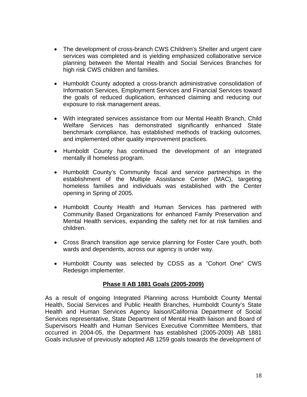- The development of cross-branch CWS Children's Shelter and urgent care services was completed and is yielding emphasized collaborative service planning between the Mental Health and Social Services Branches for high risk CWS children and families.
- Humboldt County adopted a cross-branch administrative consolidation of Information Services, Employment Services and Financial Services toward the goals of reduced duplication, enhanced claiming and reducing our exposure to risk management areas.
- With integrated services assistance from our Mental Health Branch, Child Welfare Services has demonstrated significantly enhanced State benchmark compliance, has established methods of tracking outcomes, and implemented other quality improvement practices.
- Humboldt County has continued the development of an integrated mentally ill homeless program.
- Humboldt County's Community fiscal and service partnerships in the establishment of the Multiple Assistance Center (MAC), targeting homeless families and individuals was established with the Center opening in Spring of 2005.
- Humboldt County Health and Human Services has partnered with Community Based Organizations for enhanced Family Preservation and Mental Health services, expanding the safety net for at risk families and children.
- Cross Branch transition age service planning for Foster Care youth, both wards and dependents, across our agency is under way.
- Humboldt County was selected by CDSS as a "Cohort One" CWS Redesign implementer.

# **Phase II AB 1881 Goals (2005-2009)**

As a result of ongoing Integrated Planning across Humboldt County Mental Health, Social Services and Public Health Branches, Humboldt County's State Health and Human Services Agency liaison/California Department of Social Services representative, State Department of Mental Health liaison and Board of Supervisors Health and Human Services Executive Committee Members, that occurred in 2004-05, the Department has established (2005-2009) AB 1881 Goals inclusive of previously adopted AB 1259 goals towards the development of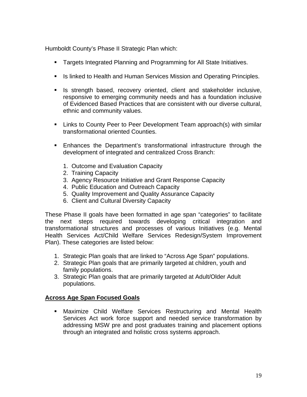Humboldt County's Phase II Strategic Plan which:

- **Targets Integrated Planning and Programming for All State Initiatives.**
- **IS linked to Health and Human Services Mission and Operating Principles.**
- **Is strength based, recovery oriented, client and stakeholder inclusive,** responsive to emerging community needs and has a foundation inclusive of Evidenced Based Practices that are consistent with our diverse cultural, ethnic and community values.
- Links to County Peer to Peer Development Team approach(s) with similar transformational oriented Counties.
- **Enhances the Department's transformational infrastructure through the** development of integrated and centralized Cross Branch:
	- 1. Outcome and Evaluation Capacity
	- 2. Training Capacity
	- 3. Agency Resource Initiative and Grant Response Capacity
	- 4. Public Education and Outreach Capacity
	- 5. Quality Improvement and Quality Assurance Capacity
	- 6. Client and Cultural Diversity Capacity

These Phase II goals have been formatted in age span "categories" to facilitate the next steps required towards developing critical integration and transformational structures and processes of various Initiatives (e.g. Mental Health Services Act/Child Welfare Services Redesign/System Improvement Plan). These categories are listed below:

- 1. Strategic Plan goals that are linked to "Across Age Span" populations.
- 2. Strategic Plan goals that are primarily targeted at children, youth and family populations.
- 3. Strategic Plan goals that are primarily targeted at Adult/Older Adult populations.

# **Across Age Span Focused Goals**

 Maximize Child Welfare Services Restructuring and Mental Health Services Act work force support and needed service transformation by addressing MSW pre and post graduates training and placement options through an integrated and holistic cross systems approach.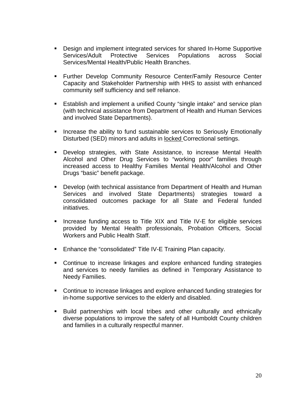- Design and implement integrated services for shared In-Home Supportive Services/Adult Protective Services Populations across Social Services/Mental Health/Public Health Branches.
- **Further Develop Community Resource Center/Family Resource Center** Capacity and Stakeholder Partnership with HHS to assist with enhanced community self sufficiency and self reliance.
- Establish and implement a unified County "single intake" and service plan (with technical assistance from Department of Health and Human Services and involved State Departments).
- **Increase the ability to fund sustainable services to Seriously Emotionally** Disturbed (SED) minors and adults in locked Correctional settings.
- Develop strategies, with State Assistance, to increase Mental Health Alcohol and Other Drug Services to "working poor" families through increased access to Healthy Families Mental Health/Alcohol and Other Drugs "basic" benefit package.
- Develop (with technical assistance from Department of Health and Human Services and involved State Departments) strategies toward a consolidated outcomes package for all State and Federal funded initiatives.
- **Increase funding access to Title XIX and Title IV-E for eligible services** provided by Mental Health professionals, Probation Officers, Social Workers and Public Health Staff.
- **Enhance the "consolidated" Title IV-E Training Plan capacity.**
- Continue to increase linkages and explore enhanced funding strategies and services to needy families as defined in Temporary Assistance to Needy Families.
- Continue to increase linkages and explore enhanced funding strategies for in-home supportive services to the elderly and disabled.
- Build partnerships with local tribes and other culturally and ethnically diverse populations to improve the safety of all Humboldt County children and families in a culturally respectful manner.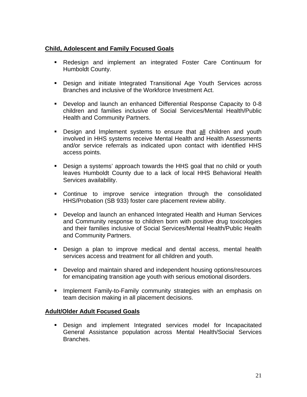# **Child, Adolescent and Family Focused Goals**

- Redesign and implement an integrated Foster Care Continuum for Humboldt County.
- Design and initiate Integrated Transitional Age Youth Services across Branches and inclusive of the Workforce Investment Act.
- Develop and launch an enhanced Differential Response Capacity to 0-8 children and families inclusive of Social Services/Mental Health/Public Health and Community Partners.
- Design and Implement systems to ensure that all children and youth involved in HHS systems receive Mental Health and Health Assessments and/or service referrals as indicated upon contact with identified HHS access points.
- Design a systems' approach towards the HHS goal that no child or youth leaves Humboldt County due to a lack of local HHS Behavioral Health Services availability.
- Continue to improve service integration through the consolidated HHS/Probation (SB 933) foster care placement review ability.
- Develop and launch an enhanced Integrated Health and Human Services and Community response to children born with positive drug toxicologies and their families inclusive of Social Services/Mental Health/Public Health and Community Partners.
- Design a plan to improve medical and dental access, mental health services access and treatment for all children and youth.
- **Develop and maintain shared and independent housing options/resources** for emancipating transition age youth with serious emotional disorders.
- **Implement Family-to-Family community strategies with an emphasis on** team decision making in all placement decisions.

# **Adult/Older Adult Focused Goals**

 Design and implement Integrated services model for Incapacitated General Assistance population across Mental Health/Social Services Branches.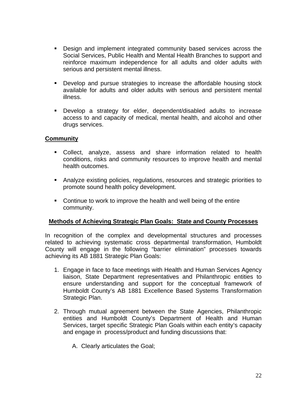- Design and implement integrated community based services across the Social Services, Public Health and Mental Health Branches to support and reinforce maximum independence for all adults and older adults with serious and persistent mental illness.
- Develop and pursue strategies to increase the affordable housing stock available for adults and older adults with serious and persistent mental illness.
- Develop a strategy for elder, dependent/disabled adults to increase access to and capacity of medical, mental health, and alcohol and other drugs services.

# **Community**

- Collect, analyze, assess and share information related to health conditions, risks and community resources to improve health and mental health outcomes.
- Analyze existing policies, regulations, resources and strategic priorities to promote sound health policy development.
- **Continue to work to improve the health and well being of the entire** community.

# **Methods of Achieving Strategic Plan Goals: State and County Processes**

In recognition of the complex and developmental structures and processes related to achieving systematic cross departmental transformation, Humboldt County will engage in the following "barrier elimination" processes towards achieving its AB 1881 Strategic Plan Goals:

- 1. Engage in face to face meetings with Health and Human Services Agency liaison, State Department representatives and Philanthropic entities to ensure understanding and support for the conceptual framework of Humboldt County's AB 1881 Excellence Based Systems Transformation Strategic Plan.
- 2. Through mutual agreement between the State Agencies, Philanthropic entities and Humboldt County's Department of Health and Human Services, target specific Strategic Plan Goals within each entity's capacity and engage in process/product and funding discussions that:
	- A. Clearly articulates the Goal;